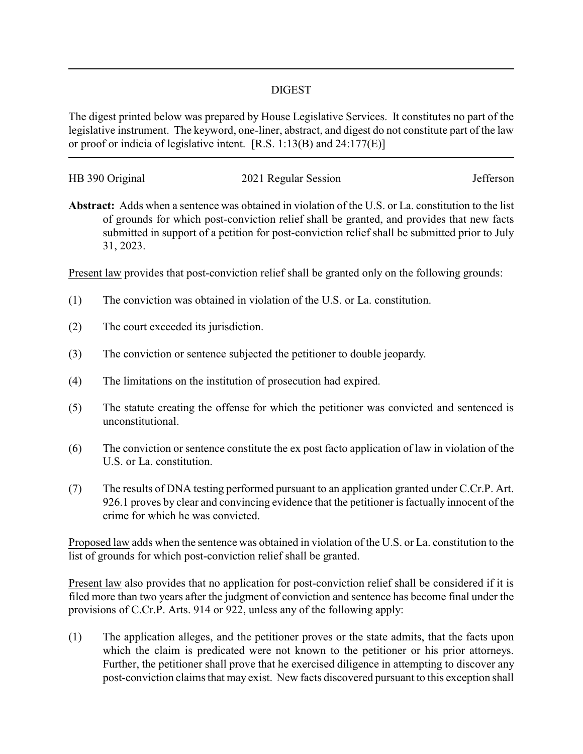## DIGEST

The digest printed below was prepared by House Legislative Services. It constitutes no part of the legislative instrument. The keyword, one-liner, abstract, and digest do not constitute part of the law or proof or indicia of legislative intent. [R.S. 1:13(B) and 24:177(E)]

| HB 390 Original | 2021 Regular Session | Jefferson |
|-----------------|----------------------|-----------|
|                 |                      |           |

**Abstract:** Adds when a sentence was obtained in violation of the U.S. or La. constitution to the list of grounds for which post-conviction relief shall be granted, and provides that new facts submitted in support of a petition for post-conviction relief shall be submitted prior to July 31, 2023.

Present law provides that post-conviction relief shall be granted only on the following grounds:

- (1) The conviction was obtained in violation of the U.S. or La. constitution.
- (2) The court exceeded its jurisdiction.
- (3) The conviction or sentence subjected the petitioner to double jeopardy.
- (4) The limitations on the institution of prosecution had expired.
- (5) The statute creating the offense for which the petitioner was convicted and sentenced is unconstitutional.
- (6) The conviction or sentence constitute the ex post facto application of law in violation of the U.S. or La. constitution.
- (7) The results of DNA testing performed pursuant to an application granted under C.Cr.P. Art. 926.1 proves by clear and convincing evidence that the petitioner is factually innocent of the crime for which he was convicted.

Proposed law adds when the sentence was obtained in violation of the U.S. or La. constitution to the list of grounds for which post-conviction relief shall be granted.

Present law also provides that no application for post-conviction relief shall be considered if it is filed more than two years after the judgment of conviction and sentence has become final under the provisions of C.Cr.P. Arts. 914 or 922, unless any of the following apply:

(1) The application alleges, and the petitioner proves or the state admits, that the facts upon which the claim is predicated were not known to the petitioner or his prior attorneys. Further, the petitioner shall prove that he exercised diligence in attempting to discover any post-conviction claims that may exist. New facts discovered pursuant to this exception shall